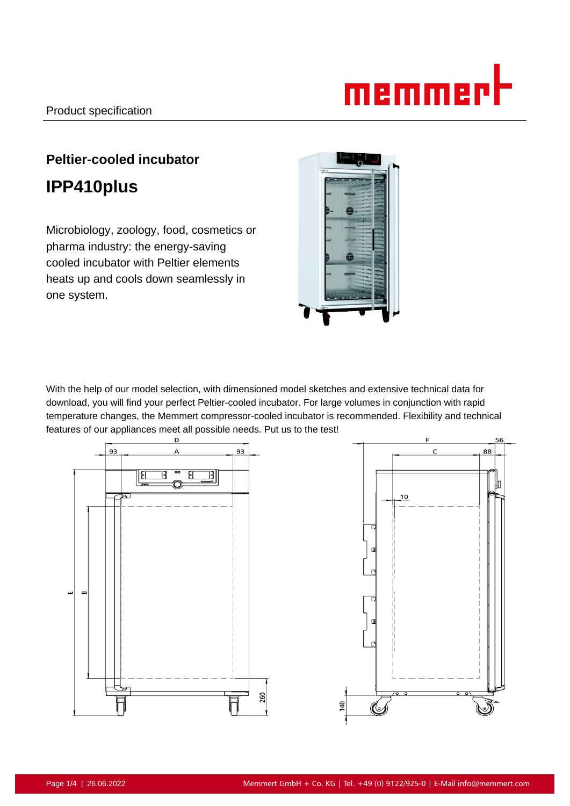# memmer

## **Peltier-cooled incubator IPP410plus**

Microbiology, zoology, food, cosmetics or pharma industry: the energy-saving cooled incubator with Peltier elements heats up and cools down seamlessly in one system.



With the help of our model selection, with dimensioned model sketches and extensive technical data for download, you will find your perfect Peltier-cooled incubator. For large volumes in conjunction with rapid temperature changes, the Memmert compressor-cooled incubator is recommended. Flexibility and technical features of our appliances meet all possible needs. Put us to the test!

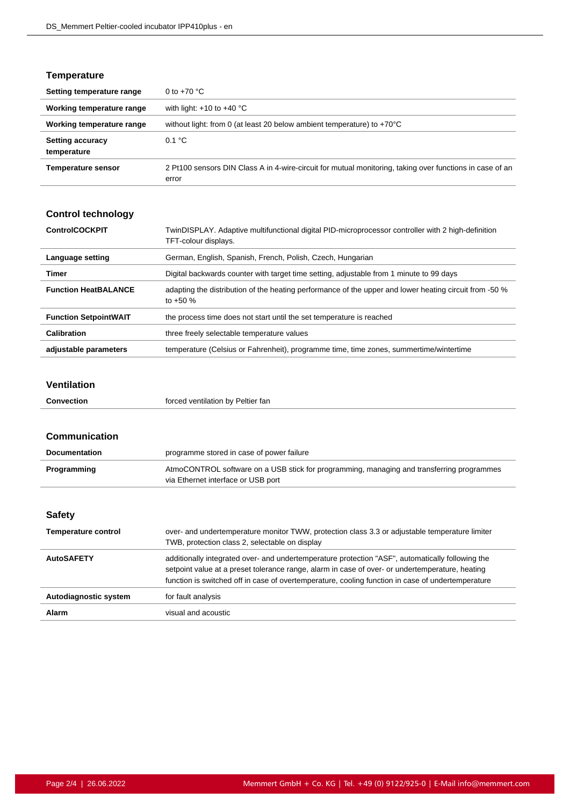#### **Temperature**

| Setting temperature range              | 0 to $+70$ °C                                                                                                     |
|----------------------------------------|-------------------------------------------------------------------------------------------------------------------|
| Working temperature range              | with light: $+10$ to $+40$ °C                                                                                     |
| Working temperature range              | without light: from 0 (at least 20 below ambient temperature) to $+70^{\circ}$ C                                  |
| <b>Setting accuracy</b><br>temperature | 0.1 °C                                                                                                            |
| <b>Temperature sensor</b>              | 2 Pt100 sensors DIN Class A in 4-wire-circuit for mutual monitoring, taking over functions in case of an<br>error |

### **Control technology**

| <b>ControlCOCKPIT</b>        | TwinDISPLAY. Adaptive multifunctional digital PID-microprocessor controller with 2 high-definition<br>TFT-colour displays. |
|------------------------------|----------------------------------------------------------------------------------------------------------------------------|
| Language setting             | German, English, Spanish, French, Polish, Czech, Hungarian                                                                 |
| Timer                        | Digital backwards counter with target time setting, adjustable from 1 minute to 99 days                                    |
| <b>Function HeatBALANCE</b>  | adapting the distribution of the heating performance of the upper and lower heating circuit from -50 %<br>to $+50%$        |
| <b>Function SetpointWAIT</b> | the process time does not start until the set temperature is reached                                                       |
| <b>Calibration</b>           | three freely selectable temperature values                                                                                 |
| adjustable parameters        | temperature (Celsius or Fahrenheit), programme time, time zones, summertime/wintertime                                     |

#### **Ventilation**

| Convection | forced ventilation by Peltier fan |
|------------|-----------------------------------|
|            |                                   |

| Communication              |                                                                                                                                                                                                                                                                                                          |
|----------------------------|----------------------------------------------------------------------------------------------------------------------------------------------------------------------------------------------------------------------------------------------------------------------------------------------------------|
| <b>Documentation</b>       | programme stored in case of power failure                                                                                                                                                                                                                                                                |
| Programming                | AtmoCONTROL software on a USB stick for programming, managing and transferring programmes<br>via Ethernet interface or USB port                                                                                                                                                                          |
|                            |                                                                                                                                                                                                                                                                                                          |
| <b>Safety</b>              |                                                                                                                                                                                                                                                                                                          |
| <b>Temperature control</b> | over- and undertemperature monitor TWW, protection class 3.3 or adjustable temperature limiter<br>TWB, protection class 2, selectable on display                                                                                                                                                         |
| <b>AutoSAFETY</b>          | additionally integrated over- and undertemperature protection "ASF", automatically following the<br>setpoint value at a preset tolerance range, alarm in case of over- or undertemperature, heating<br>function is switched off in case of overtemperature, cooling function in case of undertemperature |
| Autodiagnostic system      | for fault analysis                                                                                                                                                                                                                                                                                       |
| Alarm                      | visual and acoustic                                                                                                                                                                                                                                                                                      |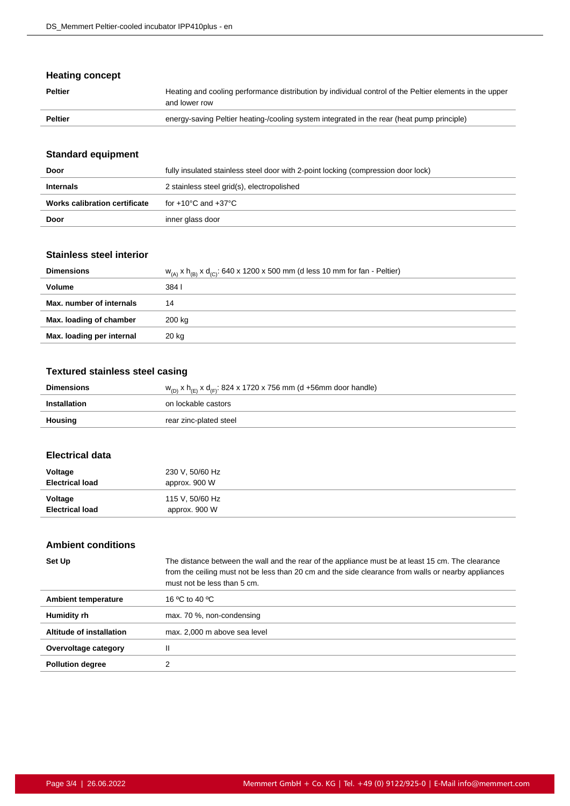#### **Heating concept**

| <b>Peltier</b> | Heating and cooling performance distribution by individual control of the Peltier elements in the upper<br>and lower row |
|----------------|--------------------------------------------------------------------------------------------------------------------------|
| <b>Peltier</b> | energy-saving Peltier heating-/cooling system integrated in the rear (heat pump principle)                               |

#### **Standard equipment**

| Door                          | fully insulated stainless steel door with 2-point locking (compression door lock) |
|-------------------------------|-----------------------------------------------------------------------------------|
| <b>Internals</b>              | 2 stainless steel grid(s), electropolished                                        |
| Works calibration certificate | for +10°C and +37°C                                                               |
| Door                          | inner glass door                                                                  |

#### **Stainless steel interior**

| <b>Dimensions</b>         | $W_{(A)}$ x $h_{(B)}$ x $d_{(C)}$ : 640 x 1200 x 500 mm (d less 10 mm for fan - Peltier) |
|---------------------------|------------------------------------------------------------------------------------------|
| Volume                    | 384 I                                                                                    |
| Max. number of internals  | 14                                                                                       |
| Max. loading of chamber   | 200 kg                                                                                   |
| Max. loading per internal | 20 kg                                                                                    |

#### **Textured stainless steel casing**

| <b>Dimensions</b> | $w_{(D)}$ x h <sub>(F)</sub> x d <sub>(F)</sub> : 824 x 1720 x 756 mm (d +56mm door handle) |
|-------------------|---------------------------------------------------------------------------------------------|
| Installation      | on lockable castors                                                                         |
| Housing           | rear zinc-plated steel                                                                      |

#### **Electrical data**

| Voltage                | 230 V, 50/60 Hz |
|------------------------|-----------------|
| <b>Electrical load</b> | approx. 900 W   |
| Voltage                | 115 V, 50/60 Hz |
| <b>Electrical load</b> | approx. 900 W   |

#### **Ambient conditions**

| The distance between the wall and the rear of the appliance must be at least 15 cm. The clearance<br>from the ceiling must not be less than 20 cm and the side clearance from walls or nearby appliances<br>must not be less than 5 cm. |
|-----------------------------------------------------------------------------------------------------------------------------------------------------------------------------------------------------------------------------------------|
| 16 °C to 40 °C                                                                                                                                                                                                                          |
| max. 70 %, non-condensing                                                                                                                                                                                                               |
| max. 2,000 m above sea level                                                                                                                                                                                                            |
|                                                                                                                                                                                                                                         |
|                                                                                                                                                                                                                                         |
|                                                                                                                                                                                                                                         |